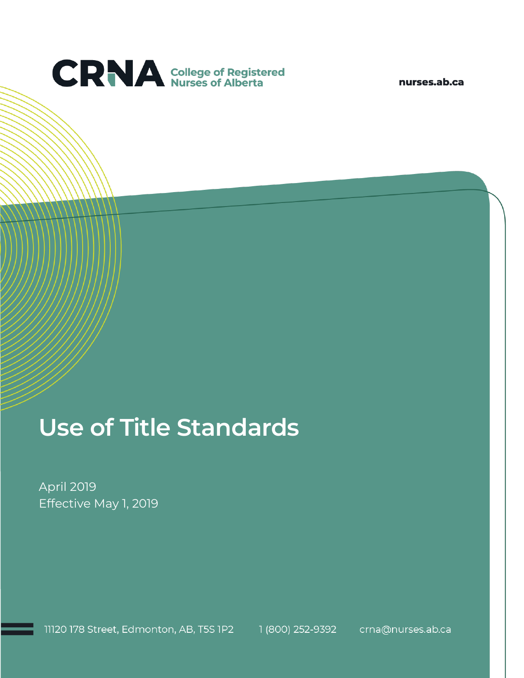

nurses.ab.ca

# **Use of Title Standards**

April 2019 Effective May 1, 2019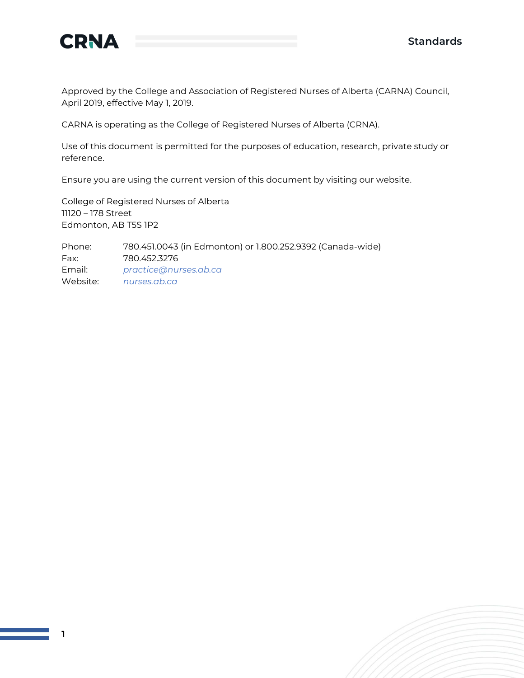

**1**

Approved by the College and Association of Registered Nurses of Alberta (CARNA) Council, April 2019, effective May 1, 2019.

CARNA is operating as the College of Registered Nurses of Alberta (CRNA).

Use of this document is permitted for the purposes of education, research, private study or reference.

Ensure you are using the current version of this document by visiting our website.

College of Registered Nurses of Alberta 11120 – 178 Street Edmonton, AB T5S 1P2

Phone: 780.451.0043 (in Edmonton) or 1.800.252.9392 (Canada-wide) Fax: 780.452.3276 Email: *[practice@nurses.ab.ca](mailto:practice@nurses.ab.ca)* Website: *[nurses.ab.ca](http://www.nurses.ab.ca/)*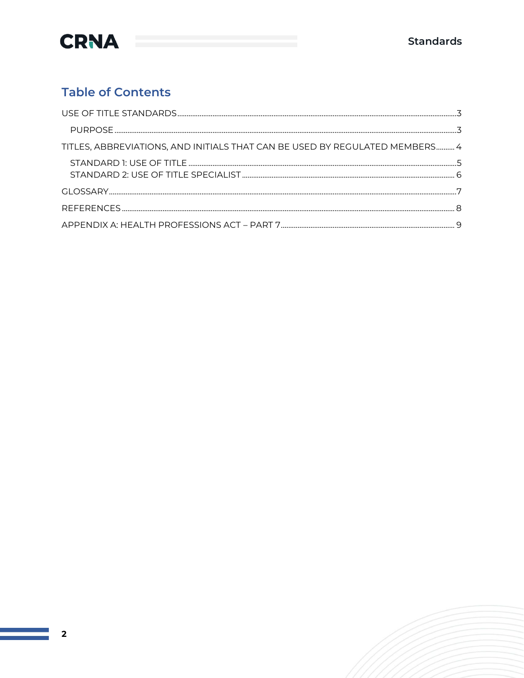

### **Table of Contents**

| TITLES, ABBREVIATIONS, AND INITIALS THAT CAN BE USED BY REGULATED MEMBERS 4 |  |
|-----------------------------------------------------------------------------|--|
|                                                                             |  |
|                                                                             |  |
|                                                                             |  |
|                                                                             |  |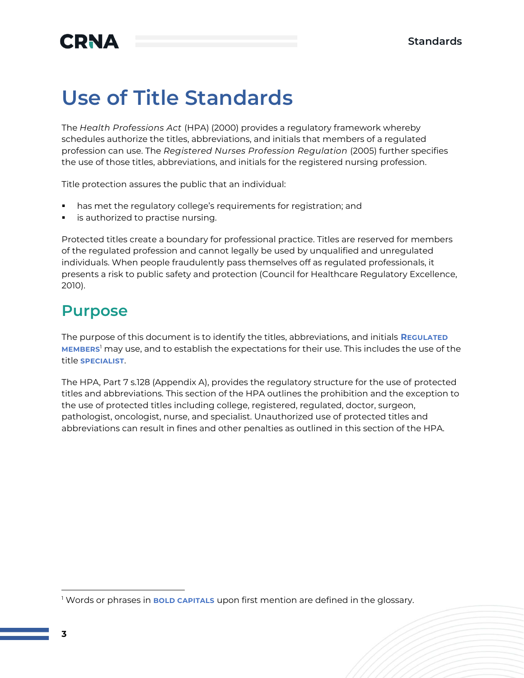### <span id="page-3-0"></span>**Use of Title Standards**

The *Health Professions Act* (HPA) (2000) provides a regulatory framework whereby schedules authorize the titles, abbreviations, and initials that members of a regulated profession can use. The *Registered Nurses Profession Regulation* (2005) further specifies the use of those titles, abbreviations, and initials for the registered nursing profession.

Title protection assures the public that an individual:

- has met the regulatory college's requirements for registration; and
- is authorized to practise nursing.

Protected titles create a boundary for professional practice. Titles are reserved for members of the regulated profession and cannot legally be used by unqualified and unregulated individuals. When people fraudulently pass themselves off as regulated professionals, it presents a risk to public safety and protection (Council for Healthcare Regulatory Excellence, 2010).

### <span id="page-3-1"></span>**Purpose**

The purpose of this document is to identify the titles, abbreviations, and initials **REGULATED MEMBERS**<sup>1</sup> may use, and to establish the expectations for their use. This includes the use of the title **SPECIALIST**.

The HPA, Part 7 s.128 (Appendix A), provides the regulatory structure for the use of protected titles and abbreviations. This section of the HPA outlines the prohibition and the exception to the use of protected titles including college, registered, regulated, doctor, surgeon, pathologist, oncologist, nurse, and specialist. Unauthorized use of protected titles and abbreviations can result in fines and other penalties as outlined in this section of the HPA.

<sup>1</sup> Words or phrases in **BOLD CAPITALS** upon first mention are defined in the glossary.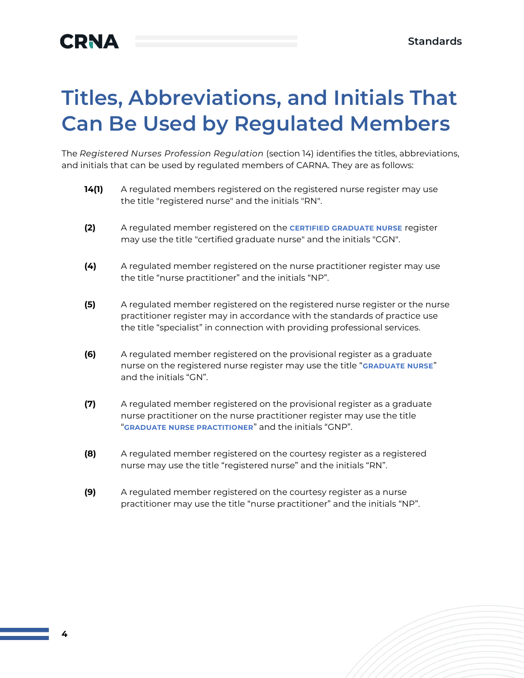# <span id="page-4-0"></span>**Titles, Abbreviations, and Initials That Can Be Used by Regulated Members**

The *Registered Nurses Profession Regulation* (section 14) identifies the titles, abbreviations, and initials that can be used by regulated members of CARNA. They are as follows:

- **14(1)** A regulated members registered on the registered nurse register may use the title "registered nurse" and the initials "RN".
- **(2)** A regulated member registered on the **CERTIFIED GRADUATE NURSE** register may use the title "certified graduate nurse" and the initials "CGN".
- **(4)** A regulated member registered on the nurse practitioner register may use the title "nurse practitioner" and the initials "NP".
- **(5)** A regulated member registered on the registered nurse register or the nurse practitioner register may in accordance with the standards of practice use the title "specialist" in connection with providing professional services.
- **(6)** A regulated member registered on the provisional register as a graduate nurse on the registered nurse register may use the title "**GRADUATE NURSE**" and the initials "GN".
- **(7)** A regulated member registered on the provisional register as a graduate nurse practitioner on the nurse practitioner register may use the title "**GRADUATE NURSE PRACTITIONER**" and the initials "GNP".
- **(8)** A regulated member registered on the courtesy register as a registered nurse may use the title "registered nurse" and the initials "RN".
- **(9)** A regulated member registered on the courtesy register as a nurse practitioner may use the title "nurse practitioner" and the initials "NP".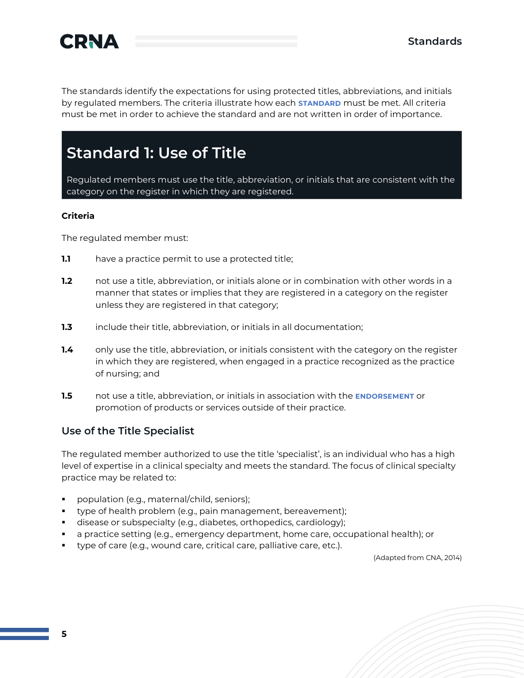

The standards identify the expectations for using protected titles, abbreviations, and initials by regulated members. The criteria illustrate how each **STANDARD** must be met. All criteria must be met in order to achieve the standard and are not written in order of importance.

### <span id="page-5-0"></span>**Standard 1: Use of Title**

Regulated members must use the title, abbreviation, or initials that are consistent with the category on the register in which they are registered.

#### **Criteria**

The regulated member must:

- **1.1** have a practice permit to use a protected title;
- **1.2** not use a title, abbreviation, or initials alone or in combination with other words in a manner that states or implies that they are registered in a category on the register unless they are registered in that category;
- **1.3** include their title, abbreviation, or initials in all documentation;
- **1.4** only use the title, abbreviation, or initials consistent with the category on the register in which they are registered, when engaged in a practice recognized as the practice of nursing; and
- **1.5** not use a title, abbreviation, or initials in association with the **ENDORSEMENT** or promotion of products or services outside of their practice.

#### **Use of the Title Specialist**

The regulated member authorized to use the title 'specialist', is an individual who has a high level of expertise in a clinical specialty and meets the standard. The focus of clinical specialty practice may be related to:

- population (e.g., maternal/child, seniors);
- type of health problem (e.g., pain management, bereavement);
- disease or subspecialty (e.g., diabetes, orthopedics, cardiology);
- a practice setting (e.g., emergency department, home care, occupational health); or
- type of care (e.g., wound care, critical care, palliative care, etc.).

(Adapted from CNA, 2014)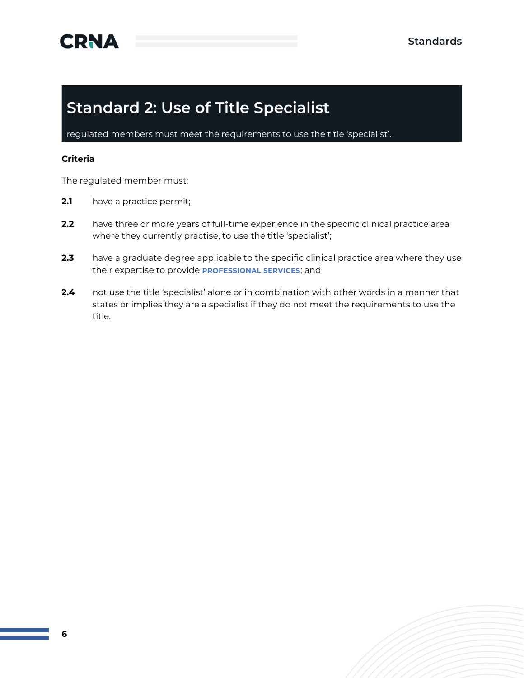### <span id="page-6-0"></span>**Standard 2: Use of Title Specialist**

regulated members must meet the requirements to use the title 'specialist'.

#### **Criteria**

The regulated member must:

- **2.1** have a practice permit;
- **2.2** have three or more years of full-time experience in the specific clinical practice area where they currently practise, to use the title 'specialist';
- **2.3** have a graduate degree applicable to the specific clinical practice area where they use their expertise to provide **PROFESSIONAL SERVICES**; and
- **2.4** not use the title 'specialist' alone or in combination with other words in a manner that states or implies they are a specialist if they do not meet the requirements to use the title.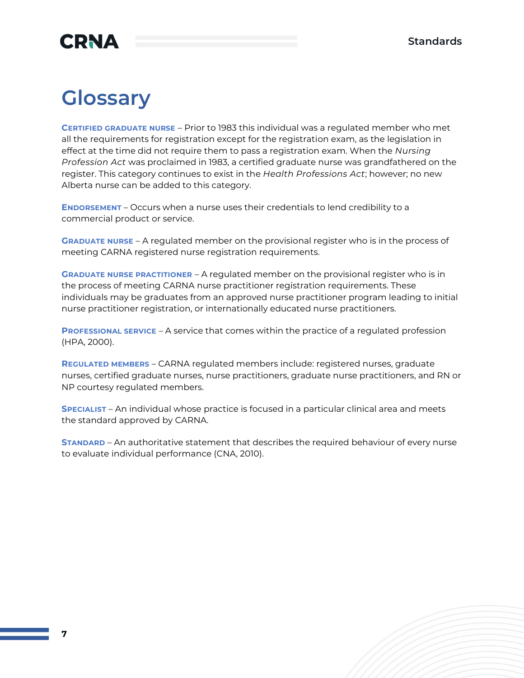### <span id="page-7-0"></span>**Glossary**

**CERTIFIED GRADUATE NURSE** – Prior to 1983 this individual was a regulated member who met all the requirements for registration except for the registration exam, as the legislation in effect at the time did not require them to pass a registration exam. When the *Nursing Profession Act* was proclaimed in 1983, a certified graduate nurse was grandfathered on the register. This category continues to exist in the *Health Professions Act*; however; no new Alberta nurse can be added to this category.

**ENDORSEMENT** – Occurs when a nurse uses their credentials to lend credibility to a commercial product or service.

**GRADUATE NURSE** – A regulated member on the provisional register who is in the process of meeting CARNA registered nurse registration requirements.

**GRADUATE NURSE PRACTITIONER** – A regulated member on the provisional register who is in the process of meeting CARNA nurse practitioner registration requirements. These individuals may be graduates from an approved nurse practitioner program leading to initial nurse practitioner registration, or internationally educated nurse practitioners.

**PROFESSIONAL SERVICE** – A service that comes within the practice of a regulated profession (HPA, 2000).

**REGULATED MEMBERS** – CARNA regulated members include: registered nurses, graduate nurses, certified graduate nurses, nurse practitioners, graduate nurse practitioners, and RN or NP courtesy regulated members.

**SPECIALIST** – An individual whose practice is focused in a particular clinical area and meets the standard approved by CARNA.

**STANDARD** – An authoritative statement that describes the required behaviour of every nurse to evaluate individual performance (CNA, 2010).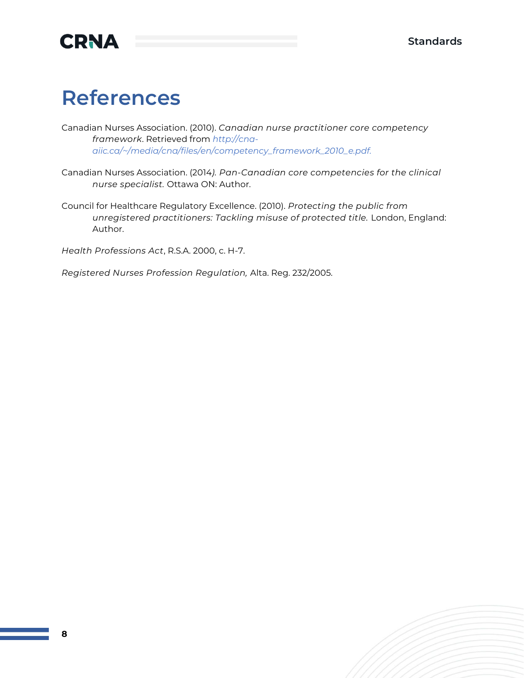

### <span id="page-8-0"></span>**References**

Canadian Nurses Association. (2010). *Canadian nurse practitioner core competency framework*. Retrieved from *[http://cna](http://cna-/)aiic.ca/~/media/cna/files/en/competency\_framework\_2010\_e.pdf.*

Canadian Nurses Association. (2014*). Pan-Canadian core competencies for the clinical nurse specialist.* Ottawa ON: Author.

Council for Healthcare Regulatory Excellence. (2010). *Protecting the public from unregistered practitioners: Tackling misuse of protected title.* London, England: Author.

*Health Professions Act*, R.S.A. 2000, c. H-7.

*Registered Nurses Profession Regulation,* Alta. Reg. 232/2005.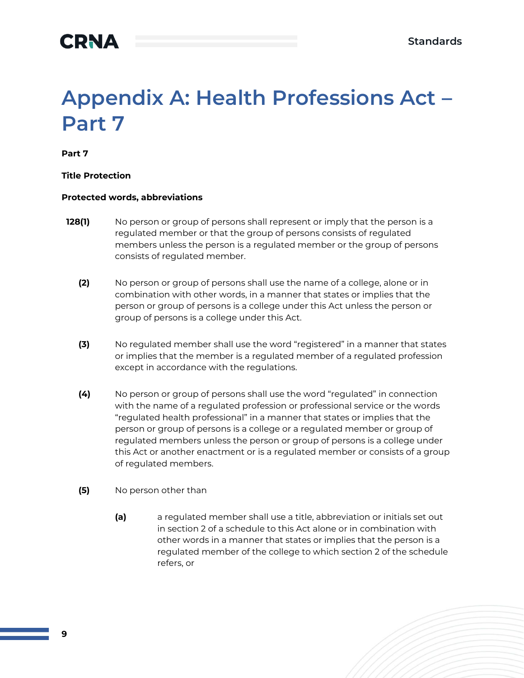# <span id="page-9-0"></span>**Appendix A: Health Professions Act – Part 7**

**Part 7**

#### **Title Protection**

#### **Protected words, abbreviations**

- **128(1)** No person or group of persons shall represent or imply that the person is a regulated member or that the group of persons consists of regulated members unless the person is a regulated member or the group of persons consists of regulated member.
	- **(2)** No person or group of persons shall use the name of a college, alone or in combination with other words, in a manner that states or implies that the person or group of persons is a college under this Act unless the person or group of persons is a college under this Act.
	- **(3)** No regulated member shall use the word "registered" in a manner that states or implies that the member is a regulated member of a regulated profession except in accordance with the regulations.
	- **(4)** No person or group of persons shall use the word "regulated" in connection with the name of a regulated profession or professional service or the words "regulated health professional" in a manner that states or implies that the person or group of persons is a college or a regulated member or group of regulated members unless the person or group of persons is a college under this Act or another enactment or is a regulated member or consists of a group of regulated members.
	- **(5)** No person other than
		- **(a)** a regulated member shall use a title, abbreviation or initials set out in section 2 of a schedule to this Act alone or in combination with other words in a manner that states or implies that the person is a regulated member of the college to which section 2 of the schedule refers, or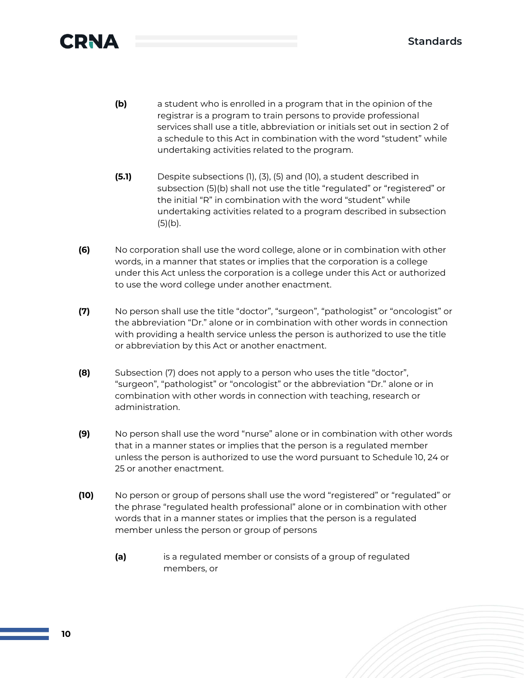

- **(b)** a student who is enrolled in a program that in the opinion of the registrar is a program to train persons to provide professional services shall use a title, abbreviation or initials set out in section 2 of a schedule to this Act in combination with the word "student" while undertaking activities related to the program.
- **(5.1)** Despite subsections (1), (3), (5) and (10), a student described in subsection (5)(b) shall not use the title "regulated" or "registered" or the initial "R" in combination with the word "student" while undertaking activities related to a program described in subsection  $(5)(b)$ .
- **(6)** No corporation shall use the word college, alone or in combination with other words, in a manner that states or implies that the corporation is a college under this Act unless the corporation is a college under this Act or authorized to use the word college under another enactment.
- **(7)** No person shall use the title "doctor", "surgeon", "pathologist" or "oncologist" or the abbreviation "Dr." alone or in combination with other words in connection with providing a health service unless the person is authorized to use the title or abbreviation by this Act or another enactment.
- **(8)** Subsection (7) does not apply to a person who uses the title "doctor", "surgeon", "pathologist" or "oncologist" or the abbreviation "Dr." alone or in combination with other words in connection with teaching, research or administration.
- **(9)** No person shall use the word "nurse" alone or in combination with other words that in a manner states or implies that the person is a regulated member unless the person is authorized to use the word pursuant to Schedule 10, 24 or 25 or another enactment.
- **(10)** No person or group of persons shall use the word "registered" or "regulated" or the phrase "regulated health professional" alone or in combination with other words that in a manner states or implies that the person is a regulated member unless the person or group of persons
	- **(a)** is a regulated member or consists of a group of regulated members, or